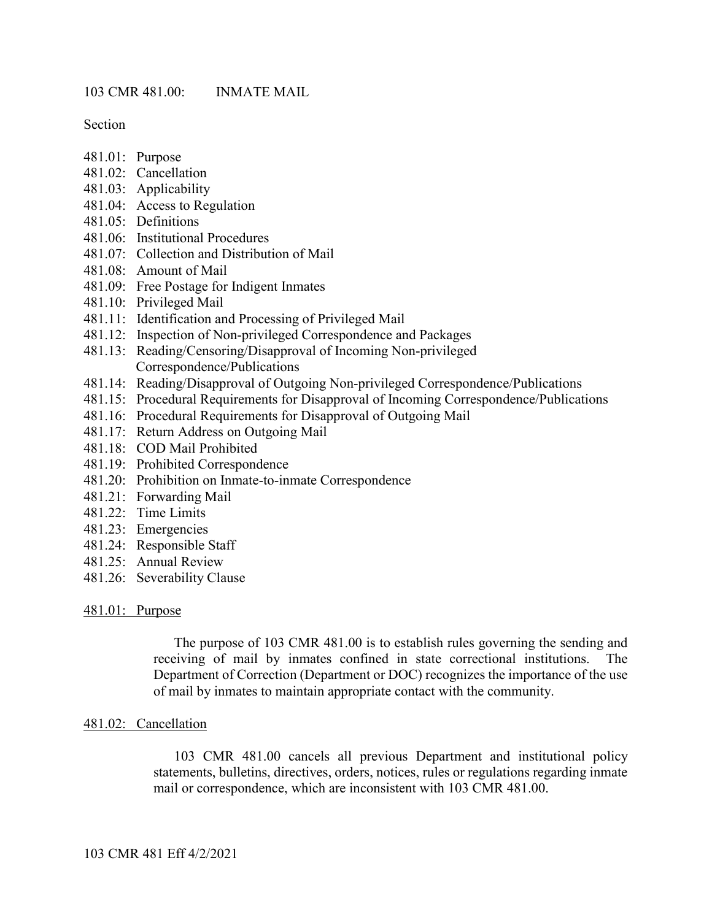Section

- 481.01: Purpose
- 481.02: Cancellation
- 481.03: Applicability
- 481.04: Access to Regulation
- 481.05: Definitions
- 481.06: Institutional Procedures
- 481.07: Collection and Distribution of Mail
- 481.08: Amount of Mail
- 481.09: Free Postage for Indigent Inmates
- 481.10: Privileged Mail
- 481.11: Identification and Processing of Privileged Mail
- 481.12: Inspection of Non-privileged Correspondence and Packages
- 481.13: Reading/Censoring/Disapproval of Incoming Non-privileged Correspondence/Publications
- 481.14: Reading/Disapproval of Outgoing Non-privileged Correspondence/Publications
- 481.15: Procedural Requirements for Disapproval of Incoming Correspondence/Publications
- 481.16: Procedural Requirements for Disapproval of Outgoing Mail
- 481.17: Return Address on Outgoing Mail
- 481.18: COD Mail Prohibited
- 481.19: Prohibited Correspondence
- 481.20: Prohibition on Inmate-to-inmate Correspondence
- 481.21: Forwarding Mail
- 481.22: Time Limits
- 481.23: Emergencies
- 481.24: Responsible Staff
- 481.25: Annual Review
- 481.26: Severability Clause

#### 481.01: Purpose

The purpose of 103 CMR 481.00 is to establish rules governing the sending and receiving of mail by inmates confined in state correctional institutions. The Department of Correction (Department or DOC) recognizes the importance of the use of mail by inmates to maintain appropriate contact with the community.

#### 481.02: Cancellation

103 CMR 481.00 cancels all previous Department and institutional policy statements, bulletins, directives, orders, notices, rules or regulations regarding inmate mail or correspondence, which are inconsistent with 103 CMR 481.00.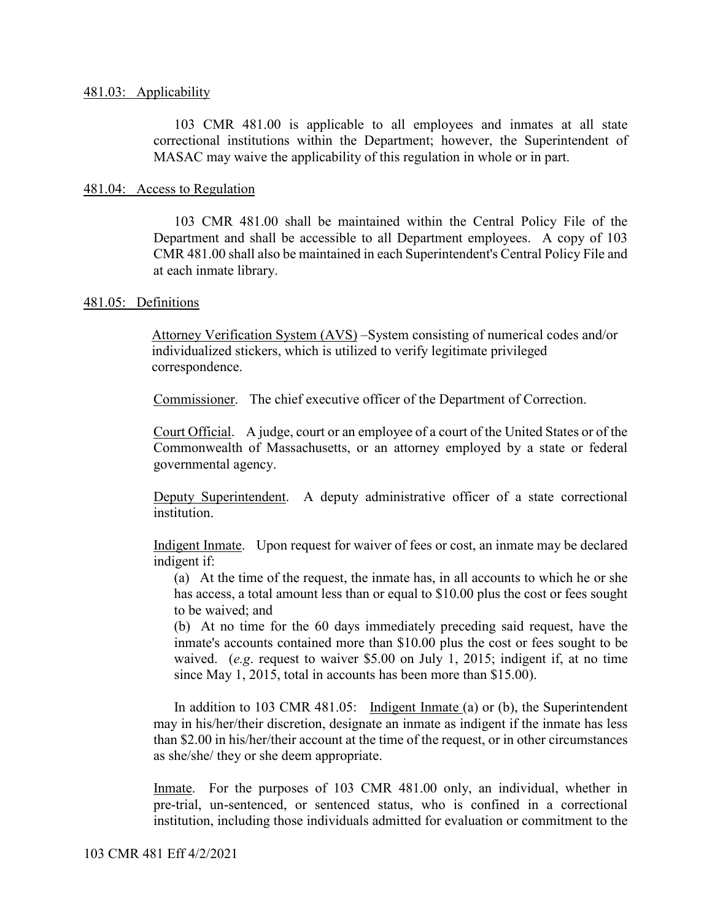103 CMR 481.00 is applicable to all employees and inmates at all state correctional institutions within the Department; however, the Superintendent of MASAC may waive the applicability of this regulation in whole or in part.

### 481.04: Access to Regulation

103 CMR 481.00 shall be maintained within the Central Policy File of the Department and shall be accessible to all Department employees. A copy of 103 CMR 481.00 shall also be maintained in each Superintendent's Central Policy File and at each inmate library.

#### 481.05: Definitions

Attorney Verification System (AVS) –System consisting of numerical codes and/or individualized stickers, which is utilized to verify legitimate privileged correspondence.

Commissioner. The chief executive officer of the Department of Correction.

Court Official. A judge, court or an employee of a court of the United States or of the Commonwealth of Massachusetts, or an attorney employed by a state or federal governmental agency.

Deputy Superintendent. A deputy administrative officer of a state correctional institution.

Indigent Inmate. Upon request for waiver of fees or cost, an inmate may be declared indigent if:

(a) At the time of the request, the inmate has, in all accounts to which he or she has access, a total amount less than or equal to \$10.00 plus the cost or fees sought to be waived; and

(b) At no time for the 60 days immediately preceding said request, have the inmate's accounts contained more than \$10.00 plus the cost or fees sought to be waived. (*e.g*. request to waiver \$5.00 on July 1, 2015; indigent if, at no time since May 1, 2015, total in accounts has been more than \$15.00).

In addition to 103 CMR 481.05: Indigent Inmate (a) or (b), the Superintendent may in his/her/their discretion, designate an inmate as indigent if the inmate has less than \$2.00 in his/her/their account at the time of the request, or in other circumstances as she/she/ they or she deem appropriate.

Inmate. For the purposes of 103 CMR 481.00 only, an individual, whether in pre-trial, un-sentenced, or sentenced status, who is confined in a correctional institution, including those individuals admitted for evaluation or commitment to the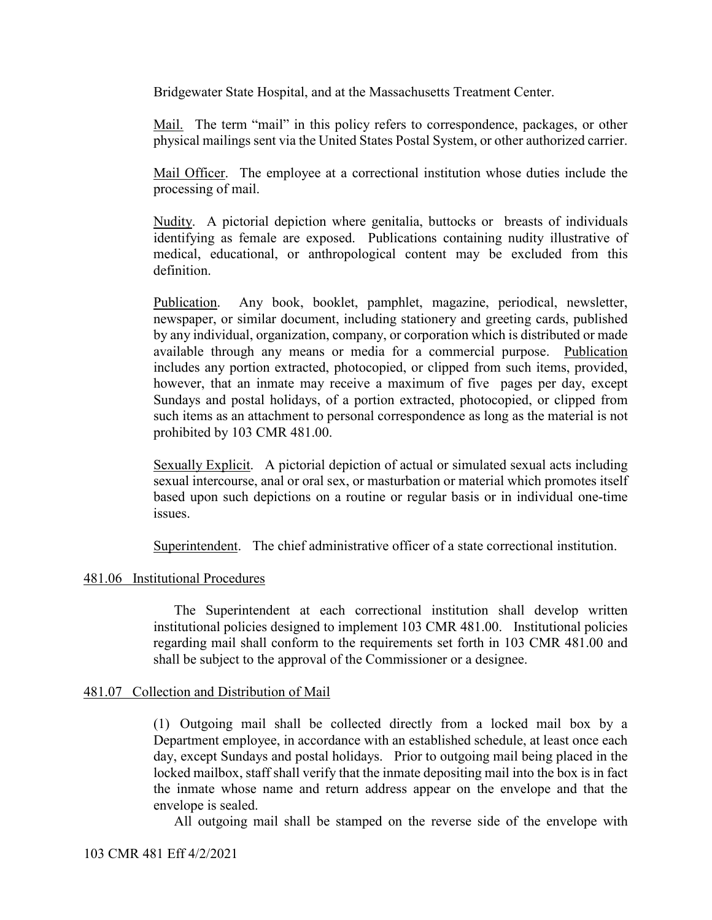Bridgewater State Hospital, and at the Massachusetts Treatment Center.

Mail. The term "mail" in this policy refers to correspondence, packages, or other physical mailings sent via the United States Postal System, or other authorized carrier.

Mail Officer. The employee at a correctional institution whose duties include the processing of mail.

Nudity. A pictorial depiction where genitalia, buttocks or breasts of individuals identifying as female are exposed. Publications containing nudity illustrative of medical, educational, or anthropological content may be excluded from this definition.

Publication. Any book, booklet, pamphlet, magazine, periodical, newsletter, newspaper, or similar document, including stationery and greeting cards, published by any individual, organization, company, or corporation which is distributed or made available through any means or media for a commercial purpose. Publication includes any portion extracted, photocopied, or clipped from such items, provided, however, that an inmate may receive a maximum of five pages per day, except Sundays and postal holidays, of a portion extracted, photocopied, or clipped from such items as an attachment to personal correspondence as long as the material is not prohibited by 103 CMR 481.00.

Sexually Explicit. A pictorial depiction of actual or simulated sexual acts including sexual intercourse, anal or oral sex, or masturbation or material which promotes itself based upon such depictions on a routine or regular basis or in individual one-time issues.

Superintendent. The chief administrative officer of a state correctional institution.

## 481.06 Institutional Procedures

The Superintendent at each correctional institution shall develop written institutional policies designed to implement 103 CMR 481.00. Institutional policies regarding mail shall conform to the requirements set forth in 103 CMR 481.00 and shall be subject to the approval of the Commissioner or a designee.

#### 481.07 Collection and Distribution of Mail

(1) Outgoing mail shall be collected directly from a locked mail box by a Department employee, in accordance with an established schedule, at least once each day, except Sundays and postal holidays. Prior to outgoing mail being placed in the locked mailbox, staff shall verify that the inmate depositing mail into the box is in fact the inmate whose name and return address appear on the envelope and that the envelope is sealed.

All outgoing mail shall be stamped on the reverse side of the envelope with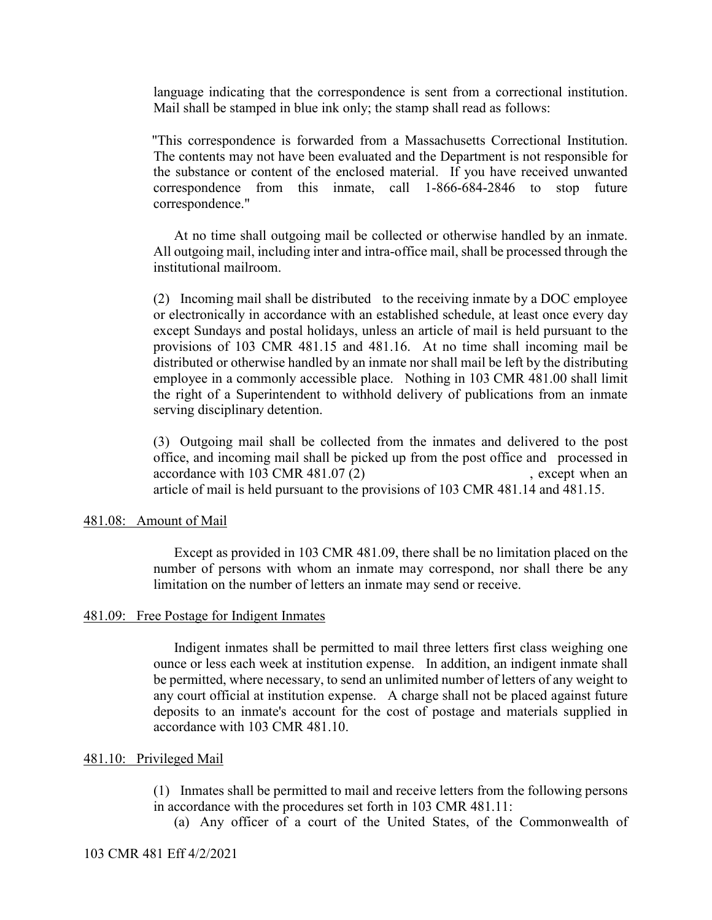language indicating that the correspondence is sent from a correctional institution. Mail shall be stamped in blue ink only; the stamp shall read as follows:

"This correspondence is forwarded from a Massachusetts Correctional Institution. The contents may not have been evaluated and the Department is not responsible for the substance or content of the enclosed material. If you have received unwanted correspondence from this inmate, call 1-866-684-2846 to stop future correspondence."

At no time shall outgoing mail be collected or otherwise handled by an inmate. All outgoing mail, including inter and intra-office mail, shall be processed through the institutional mailroom.

(2) Incoming mail shall be distributed to the receiving inmate by a DOC employee or electronically in accordance with an established schedule, at least once every day except Sundays and postal holidays, unless an article of mail is held pursuant to the provisions of 103 CMR 481.15 and 481.16. At no time shall incoming mail be distributed or otherwise handled by an inmate nor shall mail be left by the distributing employee in a commonly accessible place. Nothing in 103 CMR 481.00 shall limit the right of a Superintendent to withhold delivery of publications from an inmate serving disciplinary detention.

(3) Outgoing mail shall be collected from the inmates and delivered to the post office, and incoming mail shall be picked up from the post office and processed in accordance with 103 CMR 481.07 (2) , except when an article of mail is held pursuant to the provisions of 103 CMR 481.14 and 481.15.

#### 481.08: Amount of Mail

Except as provided in 103 CMR 481.09, there shall be no limitation placed on the number of persons with whom an inmate may correspond, nor shall there be any limitation on the number of letters an inmate may send or receive.

#### 481.09: Free Postage for Indigent Inmates

Indigent inmates shall be permitted to mail three letters first class weighing one ounce or less each week at institution expense. In addition, an indigent inmate shall be permitted, where necessary, to send an unlimited number of letters of any weight to any court official at institution expense. A charge shall not be placed against future deposits to an inmate's account for the cost of postage and materials supplied in accordance with 103 CMR 481.10.

### 481.10: Privileged Mail

(1) Inmates shall be permitted to mail and receive letters from the following persons in accordance with the procedures set forth in 103 CMR 481.11:

(a) Any officer of a court of the United States, of the Commonwealth of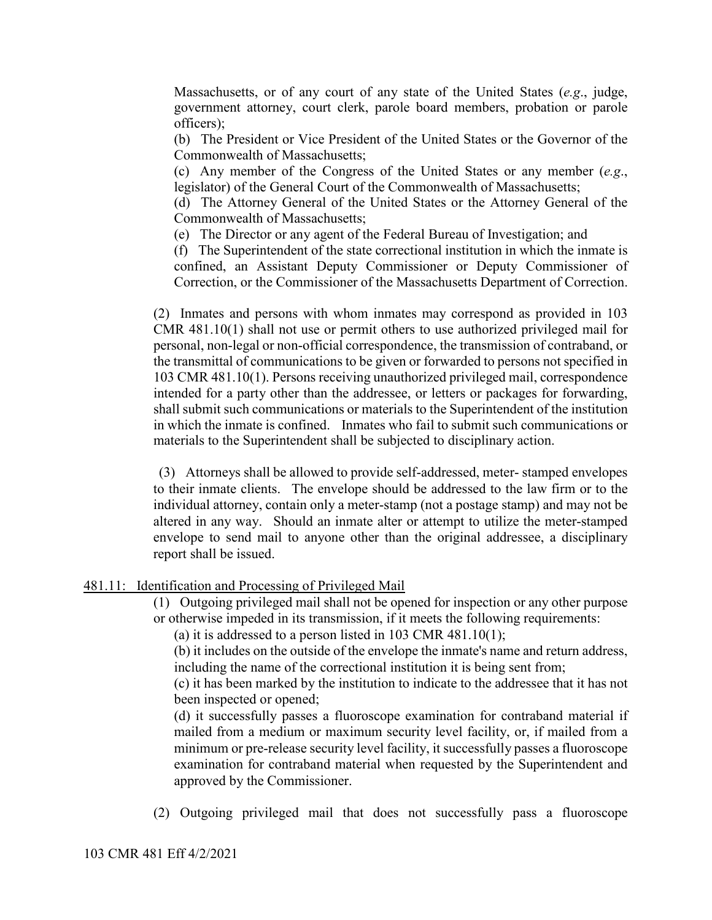Massachusetts, or of any court of any state of the United States (*e.g*., judge, government attorney, court clerk, parole board members, probation or parole officers);

(b) The President or Vice President of the United States or the Governor of the Commonwealth of Massachusetts;

(c) Any member of the Congress of the United States or any member (*e.g*., legislator) of the General Court of the Commonwealth of Massachusetts;

(d) The Attorney General of the United States or the Attorney General of the Commonwealth of Massachusetts;

(e) The Director or any agent of the Federal Bureau of Investigation; and

(f) The Superintendent of the state correctional institution in which the inmate is confined, an Assistant Deputy Commissioner or Deputy Commissioner of Correction, or the Commissioner of the Massachusetts Department of Correction.

(2) Inmates and persons with whom inmates may correspond as provided in 103 CMR 481.10(1) shall not use or permit others to use authorized privileged mail for personal, non-legal or non-official correspondence, the transmission of contraband, or the transmittal of communications to be given or forwarded to persons not specified in 103 CMR 481.10(1). Persons receiving unauthorized privileged mail, correspondence intended for a party other than the addressee, or letters or packages for forwarding, shall submit such communications or materials to the Superintendent of the institution in which the inmate is confined. Inmates who fail to submit such communications or materials to the Superintendent shall be subjected to disciplinary action.

(3) Attorneys shall be allowed to provide self-addressed, meter- stamped envelopes to their inmate clients. The envelope should be addressed to the law firm or to the individual attorney, contain only a meter-stamp (not a postage stamp) and may not be altered in any way. Should an inmate alter or attempt to utilize the meter-stamped envelope to send mail to anyone other than the original addressee, a disciplinary report shall be issued.

## 481.11: Identification and Processing of Privileged Mail

(1) Outgoing privileged mail shall not be opened for inspection or any other purpose or otherwise impeded in its transmission, if it meets the following requirements:

(a) it is addressed to a person listed in  $103$  CMR  $481.10(1)$ ;

(b) it includes on the outside of the envelope the inmate's name and return address, including the name of the correctional institution it is being sent from;

(c) it has been marked by the institution to indicate to the addressee that it has not been inspected or opened;

(d) it successfully passes a fluoroscope examination for contraband material if mailed from a medium or maximum security level facility, or, if mailed from a minimum or pre-release security level facility, it successfully passes a fluoroscope examination for contraband material when requested by the Superintendent and approved by the Commissioner.

(2) Outgoing privileged mail that does not successfully pass a fluoroscope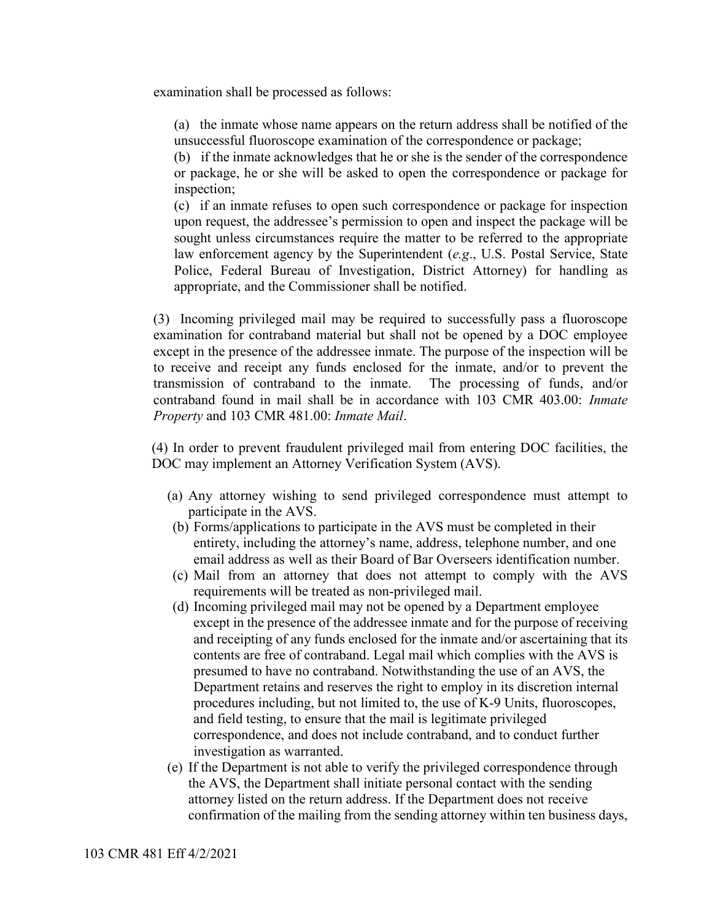examination shall be processed as follows:

(a) the inmate whose name appears on the return address shall be notified of the unsuccessful fluoroscope examination of the correspondence or package;

(b) if the inmate acknowledges that he or she is the sender of the correspondence or package, he or she will be asked to open the correspondence or package for inspection;

(c) if an inmate refuses to open such correspondence or package for inspection upon request, the addressee's permission to open and inspect the package will be sought unless circumstances require the matter to be referred to the appropriate law enforcement agency by the Superintendent (*e.g*., U.S. Postal Service, State Police, Federal Bureau of Investigation, District Attorney) for handling as appropriate, and the Commissioner shall be notified.

(3) Incoming privileged mail may be required to successfully pass a fluoroscope examination for contraband material but shall not be opened by a DOC employee except in the presence of the addressee inmate. The purpose of the inspection will be to receive and receipt any funds enclosed for the inmate, and/or to prevent the transmission of contraband to the inmate. The processing of funds, and/or contraband found in mail shall be in accordance with 103 CMR 403.00: *Inmate Property* and 103 CMR 481.00: *Inmate Mail*.

(4) In order to prevent fraudulent privileged mail from entering DOC facilities, the DOC may implement an Attorney Verification System (AVS).

- (a) Any attorney wishing to send privileged correspondence must attempt to participate in the AVS.
- (b) Forms/applications to participate in the AVS must be completed in their entirety, including the attorney's name, address, telephone number, and one email address as well as their Board of Bar Overseers identification number.
- (c) Mail from an attorney that does not attempt to comply with the AVS requirements will be treated as non-privileged mail.
- (d) Incoming privileged mail may not be opened by a Department employee except in the presence of the addressee inmate and for the purpose of receiving and receipting of any funds enclosed for the inmate and/or ascertaining that its contents are free of contraband. Legal mail which complies with the AVS is presumed to have no contraband. Notwithstanding the use of an AVS, the Department retains and reserves the right to employ in its discretion internal procedures including, but not limited to, the use of K-9 Units, fluoroscopes, and field testing, to ensure that the mail is legitimate privileged correspondence, and does not include contraband, and to conduct further investigation as warranted.
- (e) If the Department is not able to verify the privileged correspondence through the AVS, the Department shall initiate personal contact with the sending attorney listed on the return address. If the Department does not receive confirmation of the mailing from the sending attorney within ten business days,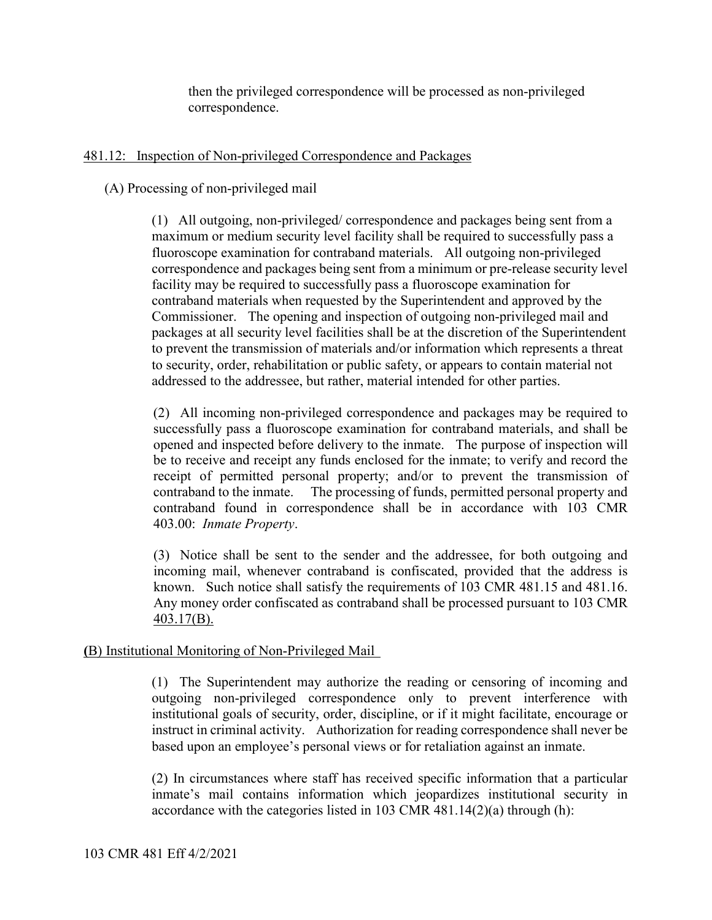then the privileged correspondence will be processed as non-privileged correspondence.

## 481.12: Inspection of Non-privileged Correspondence and Packages

## (A) Processing of non-privileged mail

(1) All outgoing, non-privileged/ correspondence and packages being sent from a maximum or medium security level facility shall be required to successfully pass a fluoroscope examination for contraband materials. All outgoing non-privileged correspondence and packages being sent from a minimum or pre-release security level facility may be required to successfully pass a fluoroscope examination for contraband materials when requested by the Superintendent and approved by the Commissioner. The opening and inspection of outgoing non-privileged mail and packages at all security level facilities shall be at the discretion of the Superintendent to prevent the transmission of materials and/or information which represents a threat to security, order, rehabilitation or public safety, or appears to contain material not addressed to the addressee, but rather, material intended for other parties.

(2) All incoming non-privileged correspondence and packages may be required to successfully pass a fluoroscope examination for contraband materials, and shall be opened and inspected before delivery to the inmate. The purpose of inspection will be to receive and receipt any funds enclosed for the inmate; to verify and record the receipt of permitted personal property; and/or to prevent the transmission of contraband to the inmate. The processing of funds, permitted personal property and contraband found in correspondence shall be in accordance with 103 CMR 403.00: *Inmate Property*.

(3) Notice shall be sent to the sender and the addressee, for both outgoing and incoming mail, whenever contraband is confiscated, provided that the address is known. Such notice shall satisfy the requirements of 103 CMR 481.15 and 481.16. Any money order confiscated as contraband shall be processed pursuant to 103 CMR 403.17(B).

## **(**B) Institutional Monitoring of Non-Privileged Mail

(1) The Superintendent may authorize the reading or censoring of incoming and outgoing non-privileged correspondence only to prevent interference with institutional goals of security, order, discipline, or if it might facilitate, encourage or instruct in criminal activity. Authorization for reading correspondence shall never be based upon an employee's personal views or for retaliation against an inmate.

(2) In circumstances where staff has received specific information that a particular inmate's mail contains information which jeopardizes institutional security in accordance with the categories listed in 103 CMR 481.14(2)(a) through (h):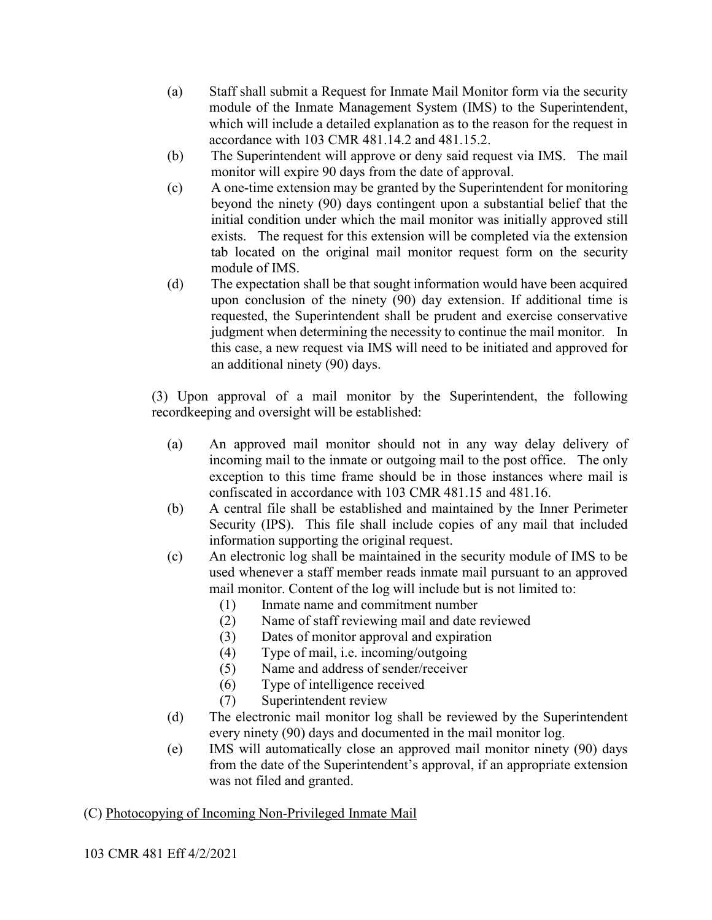- (a) Staff shall submit a Request for Inmate Mail Monitor form via the security module of the Inmate Management System (IMS) to the Superintendent, which will include a detailed explanation as to the reason for the request in accordance with 103 CMR 481.14.2 and 481.15.2.
- (b) The Superintendent will approve or deny said request via IMS. The mail monitor will expire 90 days from the date of approval.
- (c) A one-time extension may be granted by the Superintendent for monitoring beyond the ninety (90) days contingent upon a substantial belief that the initial condition under which the mail monitor was initially approved still exists. The request for this extension will be completed via the extension tab located on the original mail monitor request form on the security module of IMS.
- (d) The expectation shall be that sought information would have been acquired upon conclusion of the ninety (90) day extension. If additional time is requested, the Superintendent shall be prudent and exercise conservative judgment when determining the necessity to continue the mail monitor. In this case, a new request via IMS will need to be initiated and approved for an additional ninety (90) days.

(3) Upon approval of a mail monitor by the Superintendent, the following recordkeeping and oversight will be established:

- (a) An approved mail monitor should not in any way delay delivery of incoming mail to the inmate or outgoing mail to the post office. The only exception to this time frame should be in those instances where mail is confiscated in accordance with 103 CMR 481.15 and 481.16.
- (b) A central file shall be established and maintained by the Inner Perimeter Security (IPS). This file shall include copies of any mail that included information supporting the original request.
- (c) An electronic log shall be maintained in the security module of IMS to be used whenever a staff member reads inmate mail pursuant to an approved mail monitor. Content of the log will include but is not limited to:
	- (1) Inmate name and commitment number
	- (2) Name of staff reviewing mail and date reviewed
	- (3) Dates of monitor approval and expiration
	- (4) Type of mail, i.e. incoming/outgoing
	- (5) Name and address of sender/receiver
	- (6) Type of intelligence received
	- (7) Superintendent review
- (d) The electronic mail monitor log shall be reviewed by the Superintendent every ninety (90) days and documented in the mail monitor log.
- (e) IMS will automatically close an approved mail monitor ninety (90) days from the date of the Superintendent's approval, if an appropriate extension was not filed and granted.

# (C) Photocopying of Incoming Non-Privileged Inmate Mail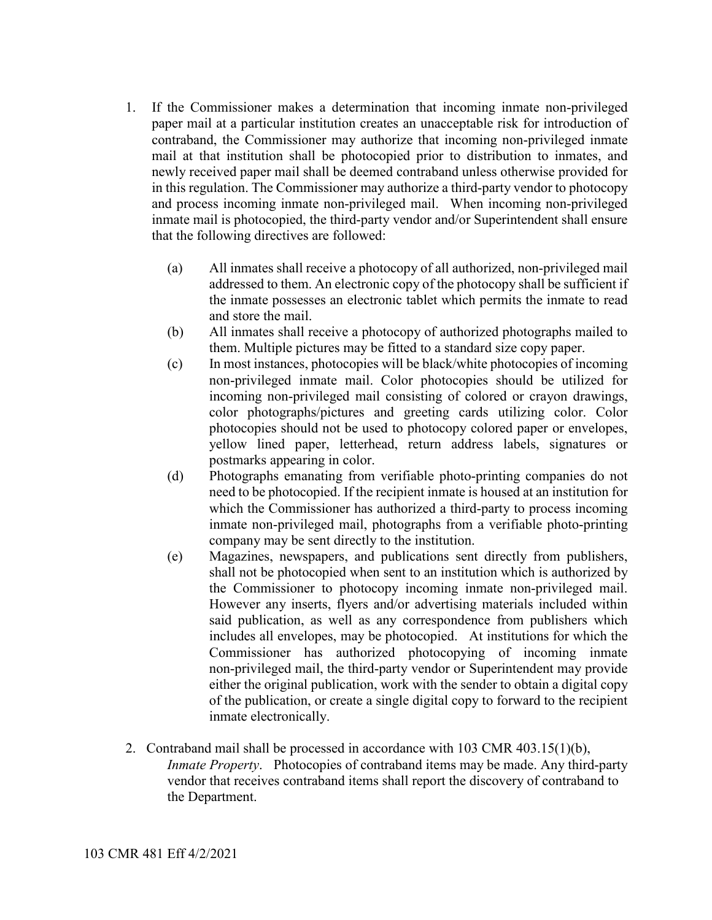- 1. If the Commissioner makes a determination that incoming inmate non-privileged paper mail at a particular institution creates an unacceptable risk for introduction of contraband, the Commissioner may authorize that incoming non-privileged inmate mail at that institution shall be photocopied prior to distribution to inmates, and newly received paper mail shall be deemed contraband unless otherwise provided for in this regulation. The Commissioner may authorize a third-party vendor to photocopy and process incoming inmate non-privileged mail. When incoming non-privileged inmate mail is photocopied, the third-party vendor and/or Superintendent shall ensure that the following directives are followed:
	- (a) All inmates shall receive a photocopy of all authorized, non-privileged mail addressed to them. An electronic copy of the photocopy shall be sufficient if the inmate possesses an electronic tablet which permits the inmate to read and store the mail.
	- (b) All inmates shall receive a photocopy of authorized photographs mailed to them. Multiple pictures may be fitted to a standard size copy paper.
	- (c) In most instances, photocopies will be black/white photocopies of incoming non-privileged inmate mail. Color photocopies should be utilized for incoming non-privileged mail consisting of colored or crayon drawings, color photographs/pictures and greeting cards utilizing color. Color photocopies should not be used to photocopy colored paper or envelopes, yellow lined paper, letterhead, return address labels, signatures or postmarks appearing in color.
	- (d) Photographs emanating from verifiable photo-printing companies do not need to be photocopied. If the recipient inmate is housed at an institution for which the Commissioner has authorized a third-party to process incoming inmate non-privileged mail, photographs from a verifiable photo-printing company may be sent directly to the institution.
	- (e) Magazines, newspapers, and publications sent directly from publishers, shall not be photocopied when sent to an institution which is authorized by the Commissioner to photocopy incoming inmate non-privileged mail. However any inserts, flyers and/or advertising materials included within said publication, as well as any correspondence from publishers which includes all envelopes, may be photocopied. At institutions for which the Commissioner has authorized photocopying of incoming inmate non-privileged mail, the third-party vendor or Superintendent may provide either the original publication, work with the sender to obtain a digital copy of the publication, or create a single digital copy to forward to the recipient inmate electronically.
- 2. Contraband mail shall be processed in accordance with 103 CMR 403.15(1)(b), *Inmate Property*. Photocopies of contraband items may be made. Any third-party vendor that receives contraband items shall report the discovery of contraband to the Department.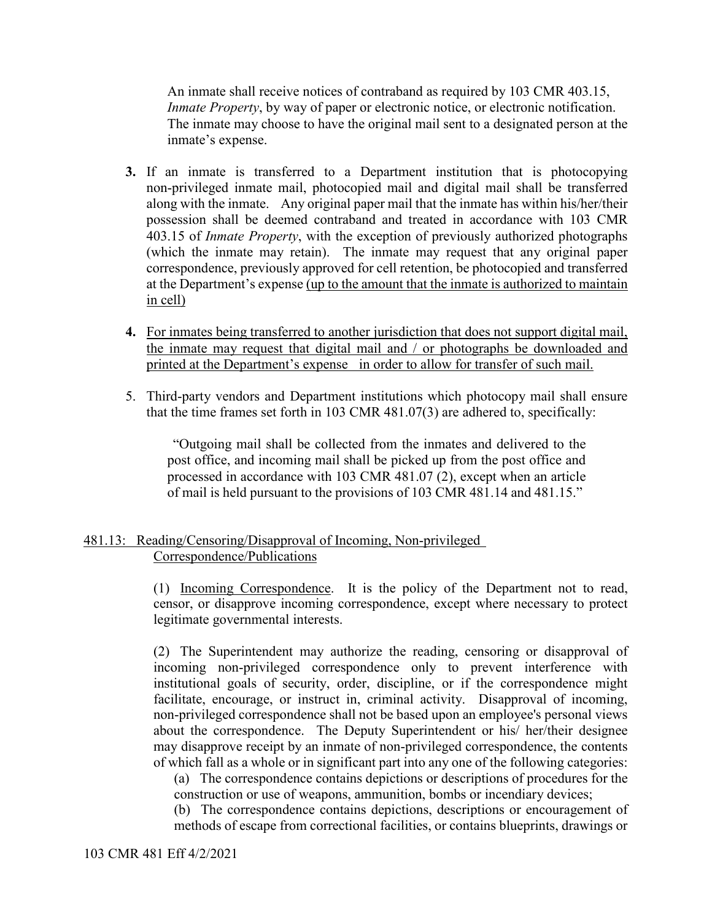An inmate shall receive notices of contraband as required by 103 CMR 403.15, *Inmate Property*, by way of paper or electronic notice, or electronic notification. The inmate may choose to have the original mail sent to a designated person at the inmate's expense.

- **3.** If an inmate is transferred to a Department institution that is photocopying non-privileged inmate mail, photocopied mail and digital mail shall be transferred along with the inmate. Any original paper mail that the inmate has within his/her/their possession shall be deemed contraband and treated in accordance with 103 CMR 403.15 of *Inmate Property*, with the exception of previously authorized photographs (which the inmate may retain). The inmate may request that any original paper correspondence, previously approved for cell retention, be photocopied and transferred at the Department's expense (up to the amount that the inmate is authorized to maintain in cell)
- **4.** For inmates being transferred to another jurisdiction that does not support digital mail, the inmate may request that digital mail and / or photographs be downloaded and printed at the Department's expense in order to allow for transfer of such mail.
- 5. Third-party vendors and Department institutions which photocopy mail shall ensure that the time frames set forth in 103 CMR 481.07(3) are adhered to, specifically:

"Outgoing mail shall be collected from the inmates and delivered to the post office, and incoming mail shall be picked up from the post office and processed in accordance with 103 CMR 481.07 (2), except when an article of mail is held pursuant to the provisions of 103 CMR 481.14 and 481.15."

# 481.13: Reading/Censoring/Disapproval of Incoming, Non-privileged Correspondence/Publications

(1) Incoming Correspondence. It is the policy of the Department not to read, censor, or disapprove incoming correspondence, except where necessary to protect legitimate governmental interests.

(2) The Superintendent may authorize the reading, censoring or disapproval of incoming non-privileged correspondence only to prevent interference with institutional goals of security, order, discipline, or if the correspondence might facilitate, encourage, or instruct in, criminal activity. Disapproval of incoming, non-privileged correspondence shall not be based upon an employee's personal views about the correspondence. The Deputy Superintendent or his/ her/their designee may disapprove receipt by an inmate of non-privileged correspondence, the contents of which fall as a whole or in significant part into any one of the following categories:

(a) The correspondence contains depictions or descriptions of procedures for the construction or use of weapons, ammunition, bombs or incendiary devices;

(b) The correspondence contains depictions, descriptions or encouragement of methods of escape from correctional facilities, or contains blueprints, drawings or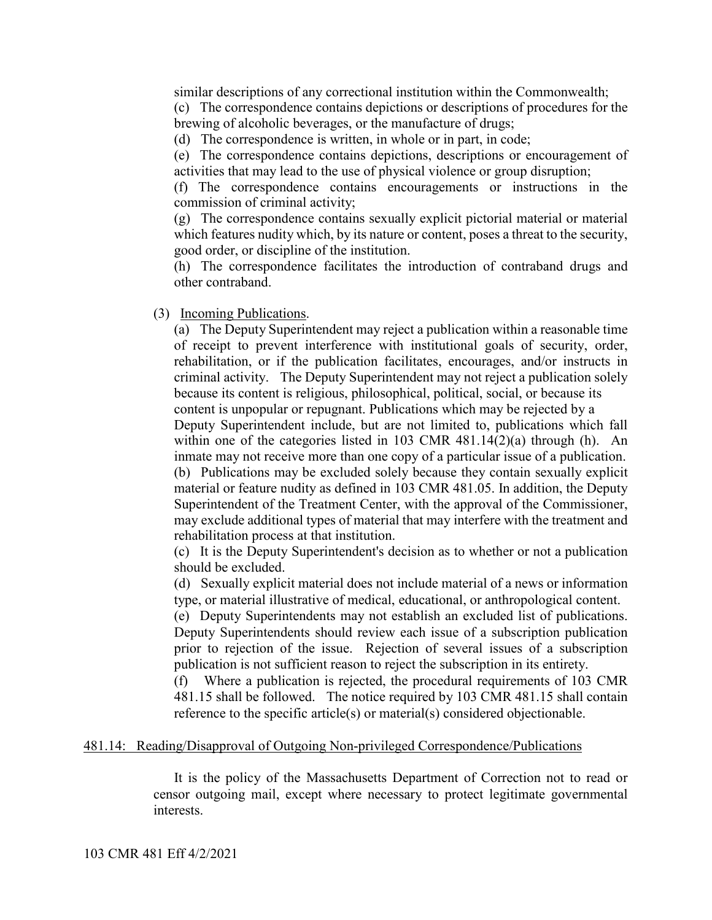similar descriptions of any correctional institution within the Commonwealth;

(c) The correspondence contains depictions or descriptions of procedures for the brewing of alcoholic beverages, or the manufacture of drugs;

(d) The correspondence is written, in whole or in part, in code;

(e) The correspondence contains depictions, descriptions or encouragement of activities that may lead to the use of physical violence or group disruption;

(f) The correspondence contains encouragements or instructions in the commission of criminal activity;

(g) The correspondence contains sexually explicit pictorial material or material which features nudity which, by its nature or content, poses a threat to the security, good order, or discipline of the institution.

(h) The correspondence facilitates the introduction of contraband drugs and other contraband.

(3) Incoming Publications.

(a) The Deputy Superintendent may reject a publication within a reasonable time of receipt to prevent interference with institutional goals of security, order, rehabilitation, or if the publication facilitates, encourages, and/or instructs in criminal activity. The Deputy Superintendent may not reject a publication solely because its content is religious, philosophical, political, social, or because its content is unpopular or repugnant. Publications which may be rejected by a Deputy Superintendent include, but are not limited to, publications which fall within one of the categories listed in 103 CMR 481.14(2)(a) through (h). An inmate may not receive more than one copy of a particular issue of a publication. (b) Publications may be excluded solely because they contain sexually explicit material or feature nudity as defined in 103 CMR 481.05. In addition, the Deputy Superintendent of the Treatment Center, with the approval of the Commissioner, may exclude additional types of material that may interfere with the treatment and rehabilitation process at that institution.

(c) It is the Deputy Superintendent's decision as to whether or not a publication should be excluded.

(d) Sexually explicit material does not include material of a news or information type, or material illustrative of medical, educational, or anthropological content.

(e) Deputy Superintendents may not establish an excluded list of publications. Deputy Superintendents should review each issue of a subscription publication prior to rejection of the issue. Rejection of several issues of a subscription publication is not sufficient reason to reject the subscription in its entirety.

(f) Where a publication is rejected, the procedural requirements of 103 CMR 481.15 shall be followed. The notice required by 103 CMR 481.15 shall contain reference to the specific article(s) or material(s) considered objectionable.

#### 481.14: Reading/Disapproval of Outgoing Non-privileged Correspondence/Publications

It is the policy of the Massachusetts Department of Correction not to read or censor outgoing mail, except where necessary to protect legitimate governmental interests.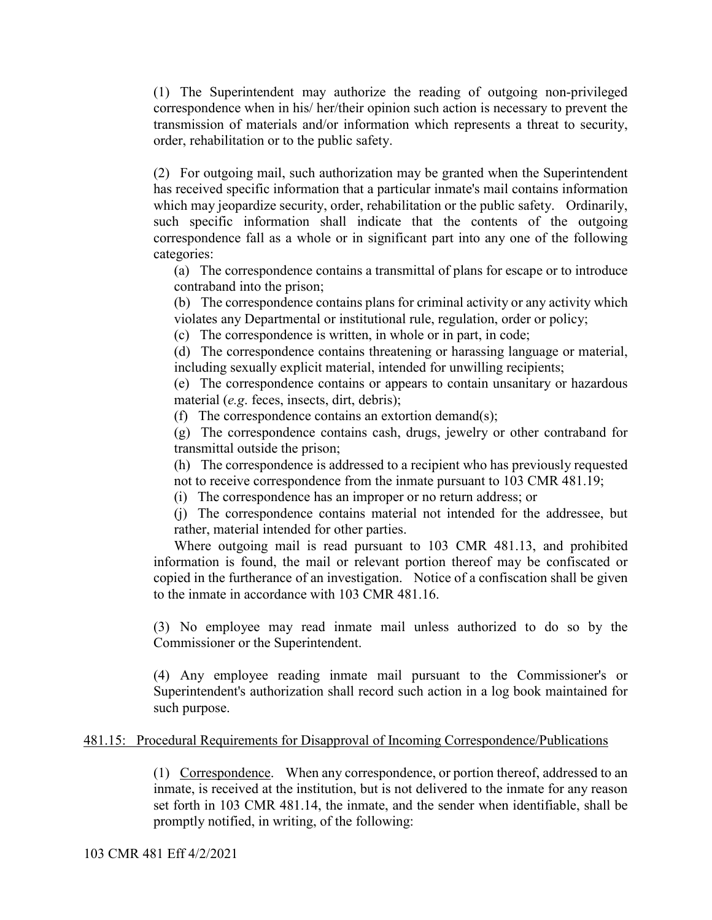(1) The Superintendent may authorize the reading of outgoing non-privileged correspondence when in his/ her/their opinion such action is necessary to prevent the transmission of materials and/or information which represents a threat to security, order, rehabilitation or to the public safety.

(2) For outgoing mail, such authorization may be granted when the Superintendent has received specific information that a particular inmate's mail contains information which may jeopardize security, order, rehabilitation or the public safety. Ordinarily, such specific information shall indicate that the contents of the outgoing correspondence fall as a whole or in significant part into any one of the following categories:

(a) The correspondence contains a transmittal of plans for escape or to introduce contraband into the prison;

(b) The correspondence contains plans for criminal activity or any activity which violates any Departmental or institutional rule, regulation, order or policy;

(c) The correspondence is written, in whole or in part, in code;

(d) The correspondence contains threatening or harassing language or material, including sexually explicit material, intended for unwilling recipients;

(e) The correspondence contains or appears to contain unsanitary or hazardous material (*e.g*. feces, insects, dirt, debris);

(f) The correspondence contains an extortion demand(s);

(g) The correspondence contains cash, drugs, jewelry or other contraband for transmittal outside the prison;

(h) The correspondence is addressed to a recipient who has previously requested not to receive correspondence from the inmate pursuant to 103 CMR 481.19;

(i) The correspondence has an improper or no return address; or

(j) The correspondence contains material not intended for the addressee, but rather, material intended for other parties.

Where outgoing mail is read pursuant to 103 CMR 481.13, and prohibited information is found, the mail or relevant portion thereof may be confiscated or copied in the furtherance of an investigation. Notice of a confiscation shall be given to the inmate in accordance with 103 CMR 481.16.

(3) No employee may read inmate mail unless authorized to do so by the Commissioner or the Superintendent.

(4) Any employee reading inmate mail pursuant to the Commissioner's or Superintendent's authorization shall record such action in a log book maintained for such purpose.

# 481.15: Procedural Requirements for Disapproval of Incoming Correspondence/Publications

(1) Correspondence. When any correspondence, or portion thereof, addressed to an inmate, is received at the institution, but is not delivered to the inmate for any reason set forth in 103 CMR 481.14, the inmate, and the sender when identifiable, shall be promptly notified, in writing, of the following: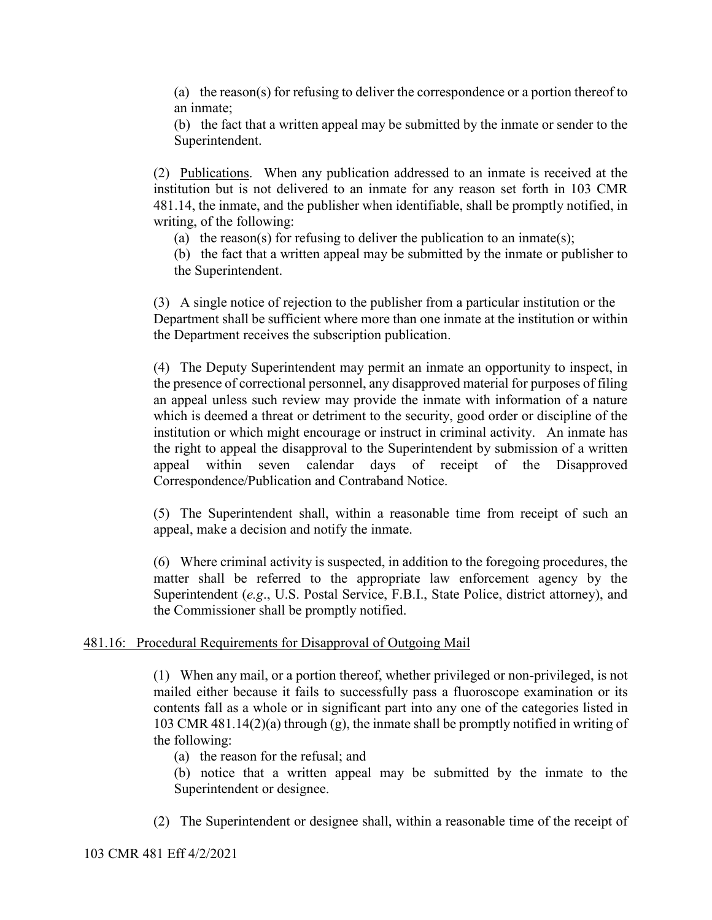(a) the reason(s) for refusing to deliver the correspondence or a portion thereof to an inmate;

(b) the fact that a written appeal may be submitted by the inmate or sender to the Superintendent.

(2) Publications. When any publication addressed to an inmate is received at the institution but is not delivered to an inmate for any reason set forth in 103 CMR 481.14, the inmate, and the publisher when identifiable, shall be promptly notified, in writing, of the following:

(a) the reason(s) for refusing to deliver the publication to an inmate(s);

(b) the fact that a written appeal may be submitted by the inmate or publisher to the Superintendent.

(3) A single notice of rejection to the publisher from a particular institution or the Department shall be sufficient where more than one inmate at the institution or within the Department receives the subscription publication.

(4) The Deputy Superintendent may permit an inmate an opportunity to inspect, in the presence of correctional personnel, any disapproved material for purposes of filing an appeal unless such review may provide the inmate with information of a nature which is deemed a threat or detriment to the security, good order or discipline of the institution or which might encourage or instruct in criminal activity. An inmate has the right to appeal the disapproval to the Superintendent by submission of a written appeal within seven calendar days of receipt of the Disapproved Correspondence/Publication and Contraband Notice.

(5) The Superintendent shall, within a reasonable time from receipt of such an appeal, make a decision and notify the inmate.

(6) Where criminal activity is suspected, in addition to the foregoing procedures, the matter shall be referred to the appropriate law enforcement agency by the Superintendent (*e.g*., U.S. Postal Service, F.B.I., State Police, district attorney), and the Commissioner shall be promptly notified.

## 481.16: Procedural Requirements for Disapproval of Outgoing Mail

(1) When any mail, or a portion thereof, whether privileged or non-privileged, is not mailed either because it fails to successfully pass a fluoroscope examination or its contents fall as a whole or in significant part into any one of the categories listed in 103 CMR 481.14(2)(a) through (g), the inmate shall be promptly notified in writing of the following:

- (a) the reason for the refusal; and
- (b) notice that a written appeal may be submitted by the inmate to the Superintendent or designee.
- (2) The Superintendent or designee shall, within a reasonable time of the receipt of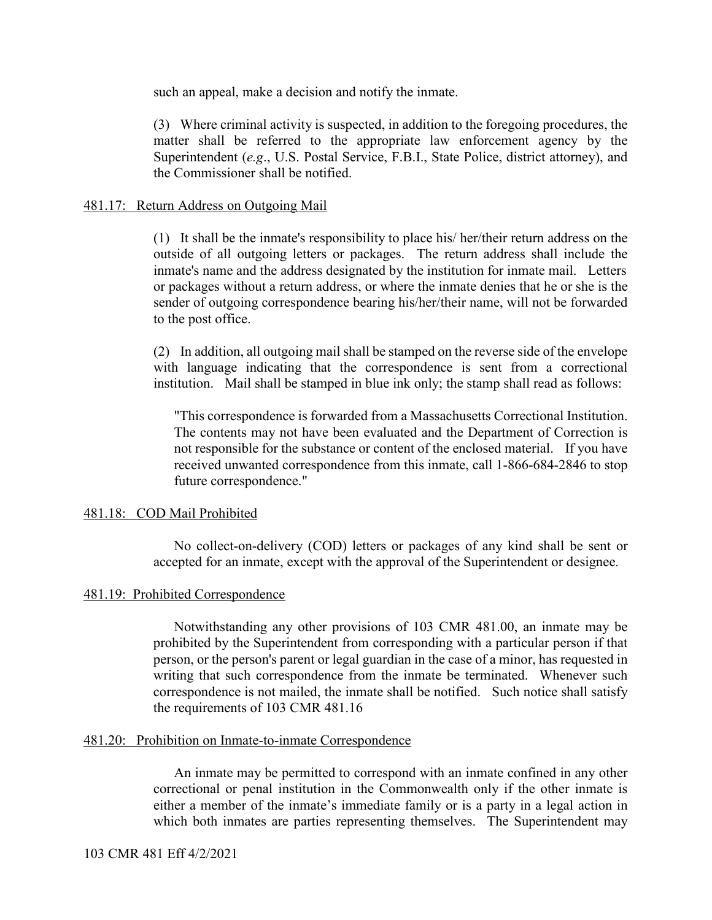such an appeal, make a decision and notify the inmate.

(3) Where criminal activity is suspected, in addition to the foregoing procedures, the matter shall be referred to the appropriate law enforcement agency by the Superintendent (*e.g*., U.S. Postal Service, F.B.I., State Police, district attorney), and the Commissioner shall be notified.

## 481.17: Return Address on Outgoing Mail

(1) It shall be the inmate's responsibility to place his/ her/their return address on the outside of all outgoing letters or packages. The return address shall include the inmate's name and the address designated by the institution for inmate mail. Letters or packages without a return address, or where the inmate denies that he or she is the sender of outgoing correspondence bearing his/her/their name, will not be forwarded to the post office.

(2) In addition, all outgoing mail shall be stamped on the reverse side of the envelope with language indicating that the correspondence is sent from a correctional institution. Mail shall be stamped in blue ink only; the stamp shall read as follows:

"This correspondence is forwarded from a Massachusetts Correctional Institution. The contents may not have been evaluated and the Department of Correction is not responsible for the substance or content of the enclosed material. If you have received unwanted correspondence from this inmate, call 1-866-684-2846 to stop future correspondence."

## 481.18: COD Mail Prohibited

No collect-on-delivery (COD) letters or packages of any kind shall be sent or accepted for an inmate, except with the approval of the Superintendent or designee.

## 481.19: Prohibited Correspondence

Notwithstanding any other provisions of 103 CMR 481.00, an inmate may be prohibited by the Superintendent from corresponding with a particular person if that person, or the person's parent or legal guardian in the case of a minor, has requested in writing that such correspondence from the inmate be terminated. Whenever such correspondence is not mailed, the inmate shall be notified. Such notice shall satisfy the requirements of 103 CMR 481.16

#### 481.20: Prohibition on Inmate-to-inmate Correspondence

An inmate may be permitted to correspond with an inmate confined in any other correctional or penal institution in the Commonwealth only if the other inmate is either a member of the inmate's immediate family or is a party in a legal action in which both inmates are parties representing themselves. The Superintendent may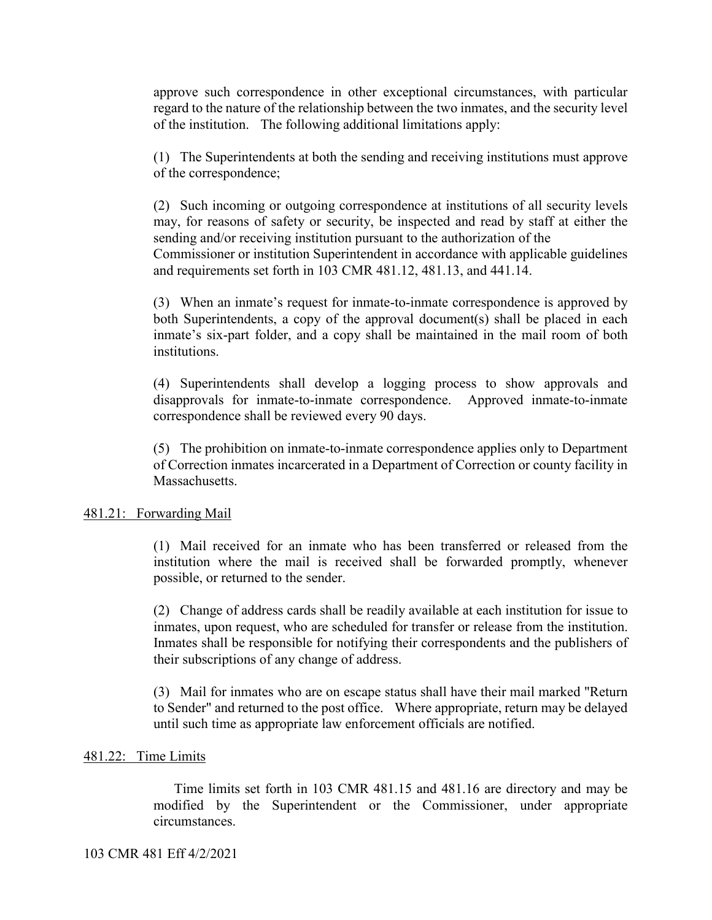approve such correspondence in other exceptional circumstances, with particular regard to the nature of the relationship between the two inmates, and the security level of the institution. The following additional limitations apply:

(1) The Superintendents at both the sending and receiving institutions must approve of the correspondence;

(2) Such incoming or outgoing correspondence at institutions of all security levels may, for reasons of safety or security, be inspected and read by staff at either the sending and/or receiving institution pursuant to the authorization of the Commissioner or institution Superintendent in accordance with applicable guidelines and requirements set forth in 103 CMR 481.12, 481.13, and 441.14.

(3) When an inmate's request for inmate-to-inmate correspondence is approved by both Superintendents, a copy of the approval document(s) shall be placed in each inmate's six-part folder, and a copy shall be maintained in the mail room of both institutions.

(4) Superintendents shall develop a logging process to show approvals and disapprovals for inmate-to-inmate correspondence. Approved inmate-to-inmate correspondence shall be reviewed every 90 days.

(5) The prohibition on inmate-to-inmate correspondence applies only to Department of Correction inmates incarcerated in a Department of Correction or county facility in Massachusetts.

## 481.21: Forwarding Mail

(1) Mail received for an inmate who has been transferred or released from the institution where the mail is received shall be forwarded promptly, whenever possible, or returned to the sender.

(2) Change of address cards shall be readily available at each institution for issue to inmates, upon request, who are scheduled for transfer or release from the institution. Inmates shall be responsible for notifying their correspondents and the publishers of their subscriptions of any change of address.

(3) Mail for inmates who are on escape status shall have their mail marked "Return to Sender" and returned to the post office. Where appropriate, return may be delayed until such time as appropriate law enforcement officials are notified.

## 481.22: Time Limits

Time limits set forth in 103 CMR 481.15 and 481.16 are directory and may be modified by the Superintendent or the Commissioner, under appropriate circumstances.